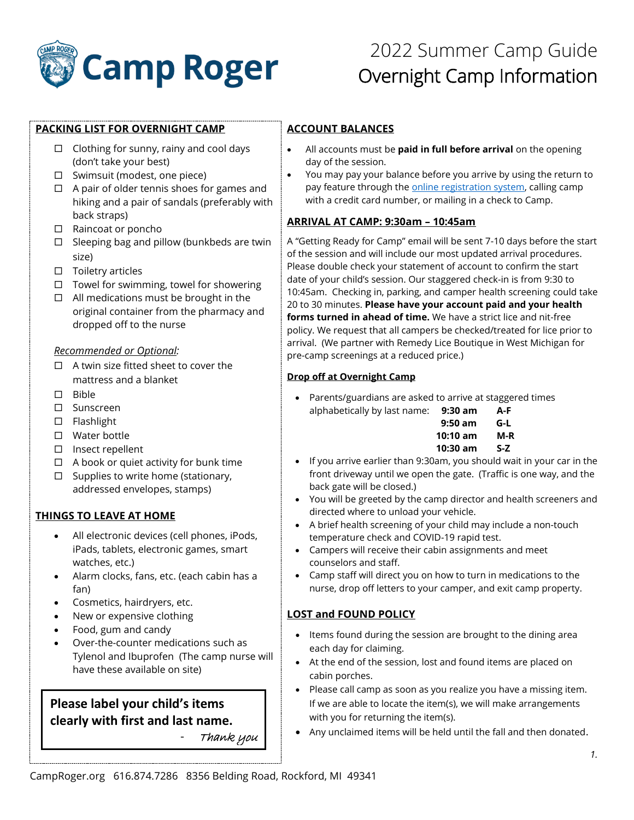

# 2022 Summer Camp Guide Overnight Camp Information

## **PACKING LIST FOR OVERNIGHT CAMP**

- $\Box$  Clothing for sunny, rainy and cool days (don't take your best)
- $\square$  Swimsuit (modest, one piece)
- $\Box$  A pair of older tennis shoes for games and hiking and a pair of sandals (preferably with back straps)
- □ Raincoat or poncho
- $\Box$  Sleeping bag and pillow (bunkbeds are twin size)
- $\square$  Toiletry articles
- $\Box$  Towel for swimming, towel for showering
- $\Box$  All medications must be brought in the original container from the pharmacy and dropped off to the nurse

#### *Recommended or Optional:*

- $\Box$  A twin size fitted sheet to cover the mattress and a blanket
- $\square$  Bible
- □ Sunscreen
- $\square$  Flashlight
- □ Water bottle
- $\square$  Insect repellent
- $\Box$  A book or quiet activity for bunk time
- $\Box$  Supplies to write home (stationary, addressed envelopes, stamps)

## **THINGS TO LEAVE AT HOME**

- All electronic devices (cell phones, iPods, iPads, tablets, electronic games, smart watches, etc.)
- Alarm clocks, fans, etc. (each cabin has a fan)
- Cosmetics, hairdryers, etc.
- New or expensive clothing
- Food, gum and candy
- Over-the-counter medications such as Tylenol and Ibuprofen (The camp nurse will have these available on site)

## **Please label your child's items clearly with first and last name.** - Thank you

## **ACCOUNT BALANCES**

- All accounts must be **paid in full before arrival** on the opening day of the session.
- You may pay your balance before you arrive by using the return to pay feature through the **online registration system**, calling camp with a credit card number, or mailing in a check to Camp.

## **ARRIVAL AT CAMP: 9:30am – 10:45am**

A "Getting Ready for Camp" email will be sent 7-10 days before the start of the session and will include our most updated arrival procedures. Please double check your statement of account to confirm the start date of your child's session. Our staggered check-in is from 9:30 to 10:45am. Checking in, parking, and camper health screening could take 20 to 30 minutes. **Please have your account paid and your health forms turned in ahead of time.** We have a strict lice and nit-free policy. We request that all campers be checked/treated for lice prior to arrival. (We partner with Remedy Lice Boutique in West Michigan for pre-camp screenings at a reduced price.)

#### **Drop off at Overnight Camp**

• Parents/guardians are asked to arrive at staggered times alphabetically by last name: **9:30 am A-F**

| 9:50 am  | G-L |
|----------|-----|
| 10:10 am | M-R |
| 10:30 am | S-Z |

- If you arrive earlier than 9:30am, you should wait in your car in the front driveway until we open the gate. (Traffic is one way, and the back gate will be closed.)
- You will be greeted by the camp director and health screeners and directed where to unload your vehicle.
- A brief health screening of your child may include a non-touch temperature check and COVID-19 rapid test.
- Campers will receive their cabin assignments and meet counselors and staff.
- Camp staff will direct you on how to turn in medications to the nurse, drop off letters to your camper, and exit camp property.

## **LOST and FOUND POLICY**

- Items found during the session are brought to the dining area each day for claiming.
- At the end of the session, lost and found items are placed on cabin porches.
- Please call camp as soon as you realize you have a missing item. If we are able to locate the item(s), we will make arrangements with you for returning the item(s).
- Any unclaimed items will be held until the fall and then donated.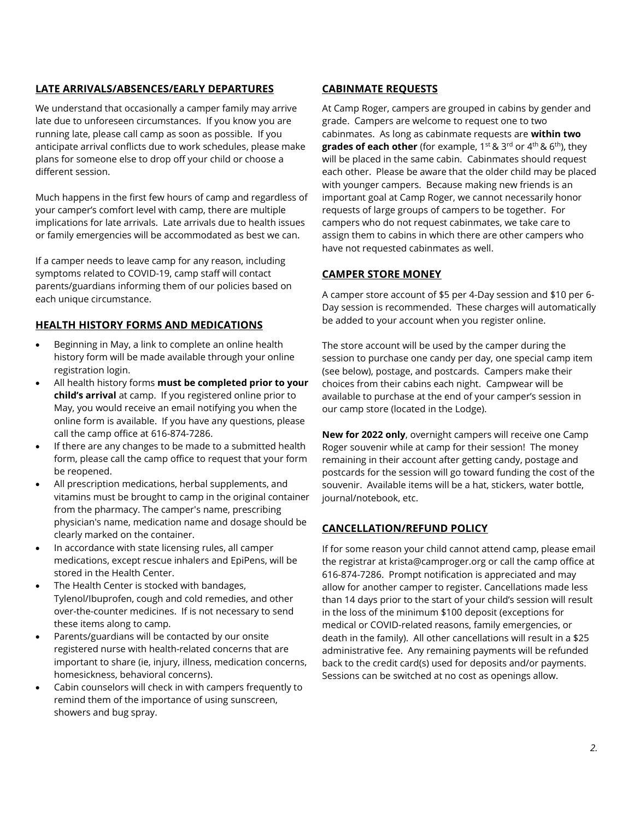## **LATE ARRIVALS/ABSENCES/EARLY DEPARTURES**

We understand that occasionally a camper family may arrive late due to unforeseen circumstances. If you know you are running late, please call camp as soon as possible. If you anticipate arrival conflicts due to work schedules, please make plans for someone else to drop off your child or choose a different session.

Much happens in the first few hours of camp and regardless of your camper's comfort level with camp, there are multiple implications for late arrivals. Late arrivals due to health issues or family emergencies will be accommodated as best we can.

If a camper needs to leave camp for any reason, including symptoms related to COVID-19, camp staff will contact parents/guardians informing them of our policies based on each unique circumstance.

## **HEALTH HISTORY FORMS AND MEDICATIONS**

- Beginning in May, a link to complete an online health history form will be made available through your online registration login.
- All health history forms **must be completed prior to your child's arrival** at camp. If you registered online prior to May, you would receive an email notifying you when the online form is available. If you have any questions, please call the camp office at 616-874-7286.
- If there are any changes to be made to a submitted health form, please call the camp office to request that your form be reopened.
- All prescription medications, herbal supplements, and vitamins must be brought to camp in the original container from the pharmacy. The camper's name, prescribing physician's name, medication name and dosage should be clearly marked on the container.
- In accordance with state licensing rules, all camper medications, except rescue inhalers and EpiPens, will be stored in the Health Center.
- The Health Center is stocked with bandages, Tylenol/Ibuprofen, cough and cold remedies, and other over-the-counter medicines. If is not necessary to send these items along to camp.
- Parents/guardians will be contacted by our onsite registered nurse with health-related concerns that are important to share (ie, injury, illness, medication concerns, homesickness, behavioral concerns).
- Cabin counselors will check in with campers frequently to remind them of the importance of using sunscreen, showers and bug spray.

## **CABINMATE REQUESTS**

At Camp Roger, campers are grouped in cabins by gender and grade. Campers are welcome to request one to two cabinmates. As long as cabinmate requests are **within two grades of each other** (for example, 1<sup>st</sup> & 3<sup>rd</sup> or 4<sup>th</sup> & 6<sup>th</sup>), they will be placed in the same cabin. Cabinmates should request each other. Please be aware that the older child may be placed with younger campers. Because making new friends is an important goal at Camp Roger, we cannot necessarily honor requests of large groups of campers to be together. For campers who do not request cabinmates, we take care to assign them to cabins in which there are other campers who have not requested cabinmates as well.

## **CAMPER STORE MONEY**

A camper store account of \$5 per 4-Day session and \$10 per 6- Day session is recommended. These charges will automatically be added to your account when you register online.

The store account will be used by the camper during the session to purchase one candy per day, one special camp item (see below), postage, and postcards. Campers make their choices from their cabins each night. Campwear will be available to purchase at the end of your camper's session in our camp store (located in the Lodge).

**New for 2022 only**, overnight campers will receive one Camp Roger souvenir while at camp for their session! The money remaining in their account after getting candy, postage and postcards for the session will go toward funding the cost of the souvenir. Available items will be a hat, stickers, water bottle, journal/notebook, etc.

## **CANCELLATION/REFUND POLICY**

If for some reason your child cannot attend camp, please email the registrar at krista@camproger.org or call the camp office at 616-874-7286. Prompt notification is appreciated and may allow for another camper to register. Cancellations made less than 14 days prior to the start of your child's session will result in the loss of the minimum \$100 deposit (exceptions for medical or COVID-related reasons, family emergencies, or death in the family). All other cancellations will result in a \$25 administrative fee. Any remaining payments will be refunded back to the credit card(s) used for deposits and/or payments. Sessions can be switched at no cost as openings allow.